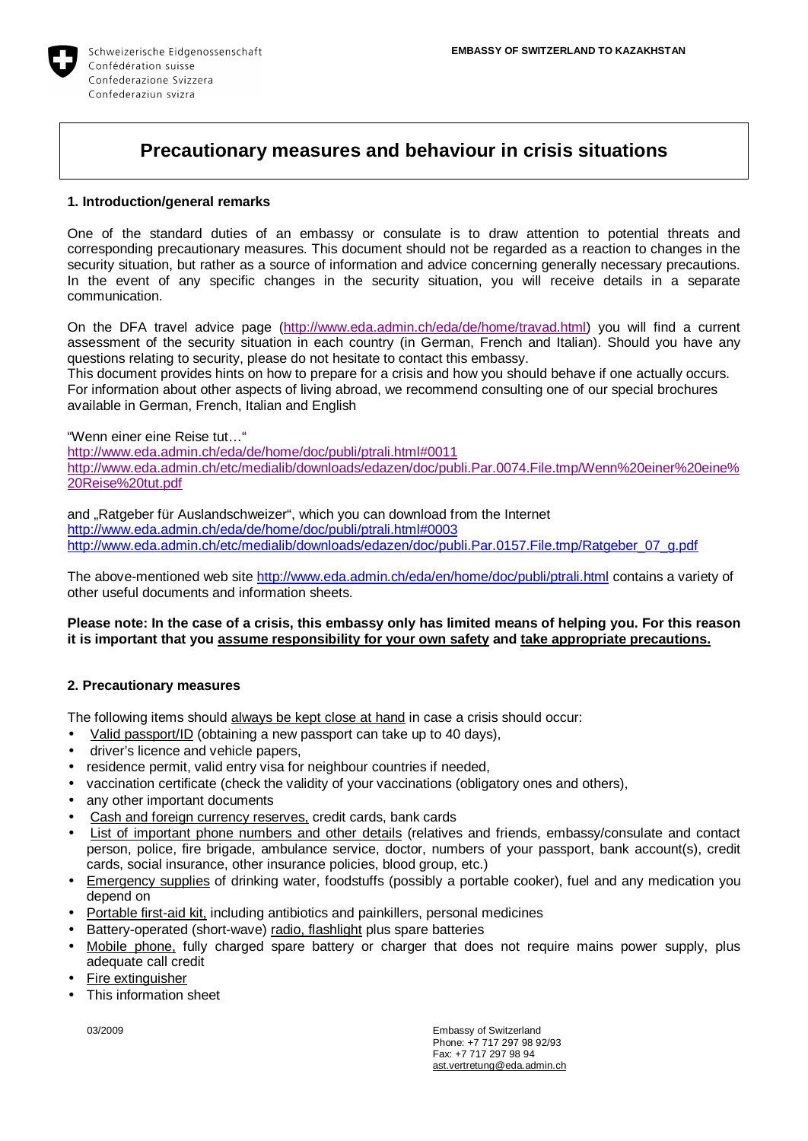

# **Precautionary measures and behaviour in crisis situations**

#### **1. Introduction/general remarks**

One of the standard duties of an embassy or consulate is to draw attention to potential threats and corresponding precautionary measures. This document should not be regarded as a reaction to changes in the security situation, but rather as a source of information and advice concerning generally necessary precautions. In the event of any specific changes in the security situation, you will receive details in a separate communication.

On the DFA travel advice page [\(http://www.eda.admin.ch/eda/de/home/travad.html](http://www.eda.admin.ch/eda/de/home/travad.html)) you will find a current assessment of the security situation in each country (in German, French and Italian). Should you have any questions relating to security, please do not hesitate to contact this embassy.

This document provides hints on how to prepare for a crisis and how you should behave if one actually occurs. For information about other aspects of living abroad, we recommend consulting one of our special brochures available in German, French, Italian and English

"Wenn einer eine Reise tut…"

<http://www.eda.admin.ch/eda/de/home/doc/publi/ptrali.html#0011> [http://www.eda.admin.ch/etc/medialib/downloads/edazen/doc/publi.Par.0074.File.tmp/Wenn%20einer%20eine%](http://www.eda.admin.ch/etc/medialib/downloads/edazen/doc/publi.Par.0074.File.tmp/Wenn%20einer%20eine) 20Reise%20tut.pdf

and "Ratgeber für Auslandschweizer", which you can download from the Internet <http://www.eda.admin.ch/eda/de/home/doc/publi/ptrali.html#0003> http://www.eda.admin.ch/etc/medialib/downloads/edazen/doc/publi.Par.0157.File.tmp/Ratgeber\_07\_g.pdf

The above-mentioned web site<http://www.eda.admin.ch/eda/en/home/doc/publi/ptrali.html> contains a variety of other useful documents and information sheets.

#### **Please note: In the case of a crisis, this embassy only has limited means of helping you. For this reason it is important that you assume responsibility for your own safety and take appropriate precautions.**

### **2. Precautionary measures**

The following items should always be kept close at hand in case a crisis should occur:

- Valid passport/ID (obtaining a new passport can take up to 40 days),
- driver's licence and vehicle papers,
- residence permit, valid entry visa for neighbour countries if needed,
- vaccination certificate (check the validity of your vaccinations (obligatory ones and others),
- any other important documents
- Cash and foreign currency reserves, credit cards, bank cards
- List of important phone numbers and other details (relatives and friends, embassy/consulate and contact person, police, fire brigade, ambulance service, doctor, numbers of your passport, bank account(s), credit cards, social insurance, other insurance policies, blood group, etc.)
- Emergency supplies of drinking water, foodstuffs (possibly a portable cooker), fuel and any medication you depend on
- Portable first-aid kit, including antibiotics and painkillers, personal medicines
- Battery-operated (short-wave) radio, flashlight plus spare batteries
- Mobile phone, fully charged spare battery or charger that does not require mains power supply, plus adequate call credit
- Fire extinguisher
- This information sheet

03/2009 **Embassy of Switzerland** Phone: +7 717 297 98 92/93 Fax: +7 717 297 98 94 [ast.vertretung@eda.admin.ch](mailto:ast.vertretung@eda.admin.ch)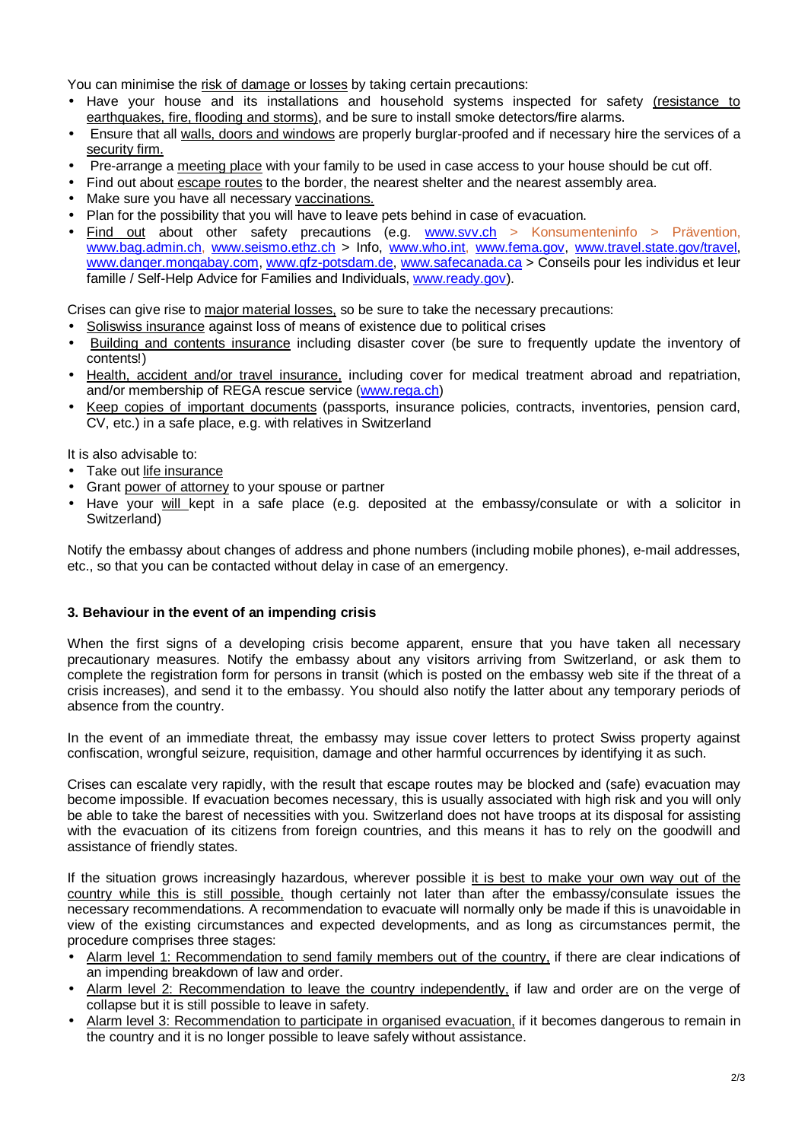You can minimise the risk of damage or losses by taking certain precautions:

- Have your house and its installations and household systems inspected for safety (resistance to earthquakes, fire, flooding and storms), and be sure to install smoke detectors/fire alarms.
- Ensure that all walls, doors and windows are properly burglar-proofed and if necessary hire the services of a security firm.
- Pre-arrange a meeting place with your family to be used in case access to your house should be cut off.
- Find out about escape routes to the border, the nearest shelter and the nearest assembly area.
- Make sure you have all necessary vaccinations.
- Plan for the possibility that you will have to leave pets behind in case of evacuation.
- Find out about other safety precautions (e.g. [www.svv.ch](http://www.svv.ch) > Konsumenteninfo > Prävention, [www.bag.admin.ch,](http://www.bag.admin.ch) [www.seismo.ethz.ch](http://www.seismo.ethz.ch) > Info, [www.who.int,](http://www.who.int) [www.fema.gov](http://www.fema.gov), [www.travel.state.gov/travel](http://www.travel.state.gov/travel), [www.danger.mongabay.com,](http://www.danger.mongabay.com) [www.gfz-potsdam.de,](http://www.gfz-potsdam.de) [www.safecanada.ca](http://www.safecanada.ca) > Conseils pour les individus et leur famille / Self-Help Advice for Families and Individuals, [www.ready.gov](http://www.ready.gov)).

Crises can give rise to major material losses, so be sure to take the necessary precautions:

- Soliswiss insurance against loss of means of existence due to political crises
- Building and contents insurance including disaster cover (be sure to frequently update the inventory of contents!)
- Health, accident and/or travel insurance, including cover for medical treatment abroad and repatriation, and/or membership of REGA rescue service ([www.rega.ch\)](http://www.rega.ch)
- Keep copies of important documents (passports, insurance policies, contracts, inventories, pension card, CV, etc.) in a safe place, e.g. with relatives in Switzerland

It is also advisable to:

- Take out life insurance
- Grant power of attorney to your spouse or partner
- Have your will kept in a safe place (e.g. deposited at the embassy/consulate or with a solicitor in Switzerland)

Notify the embassy about changes of address and phone numbers (including mobile phones), e-mail addresses, etc., so that you can be contacted without delay in case of an emergency.

### **3. Behaviour in the event of an impending crisis**

When the first signs of a developing crisis become apparent, ensure that you have taken all necessary precautionary measures. Notify the embassy about any visitors arriving from Switzerland, or ask them to complete the registration form for persons in transit (which is posted on the embassy web site if the threat of a crisis increases), and send it to the embassy. You should also notify the latter about any temporary periods of absence from the country.

In the event of an immediate threat, the embassy may issue cover letters to protect Swiss property against confiscation, wrongful seizure, requisition, damage and other harmful occurrences by identifying it as such.

Crises can escalate very rapidly, with the result that escape routes may be blocked and (safe) evacuation may become impossible. If evacuation becomes necessary, this is usually associated with high risk and you will only be able to take the barest of necessities with you. Switzerland does not have troops at its disposal for assisting with the evacuation of its citizens from foreign countries, and this means it has to rely on the goodwill and assistance of friendly states.

If the situation grows increasingly hazardous, wherever possible it is best to make your own way out of the country while this is still possible, though certainly not later than after the embassy/consulate issues the necessary recommendations. A recommendation to evacuate will normally only be made if this is unavoidable in view of the existing circumstances and expected developments, and as long as circumstances permit, the procedure comprises three stages:

- Alarm level 1: Recommendation to send family members out of the country, if there are clear indications of an impending breakdown of law and order.
- Alarm level 2: Recommendation to leave the country independently, if law and order are on the verge of collapse but it is still possible to leave in safety.
- Alarm level 3: Recommendation to participate in organised evacuation, if it becomes dangerous to remain in the country and it is no longer possible to leave safely without assistance.